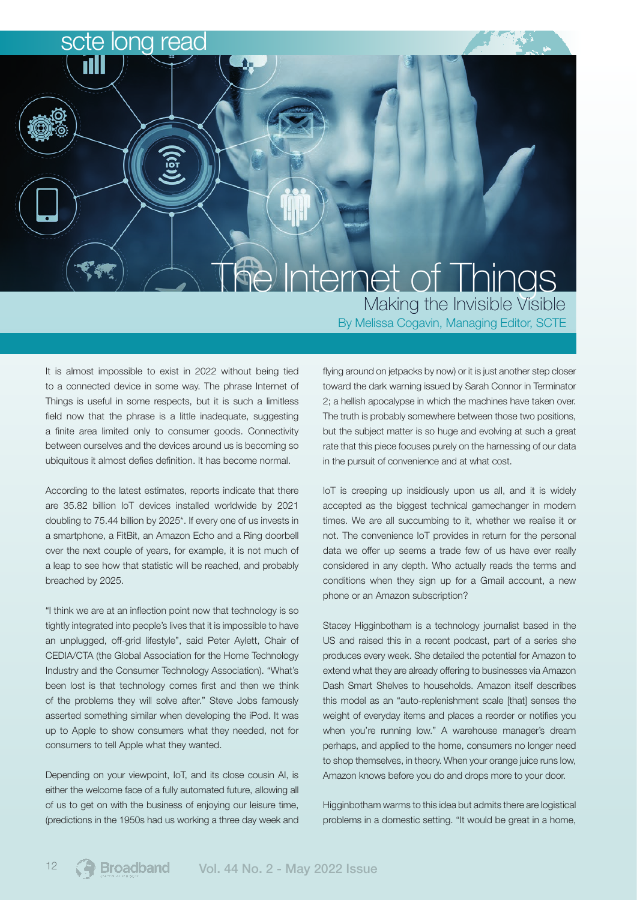scte long read

ill

# he Internet of Thinas

Making the Invisible Visible By Melissa Cogavin, Managing Editor, SCTE

It is almost impossible to exist in 2022 without being tied to a connected device in some way. The phrase Internet of Things is useful in some respects, but it is such a limitless field now that the phrase is a little inadequate, suggesting a finite area limited only to consumer goods. Connectivity between ourselves and the devices around us is becoming so ubiquitous it almost defies definition. It has become normal.

According to the latest estimates, reports indicate that there are 35.82 billion IoT devices installed worldwide by 2021 doubling to 75.44 billion by 2025\*. If every one of us invests in a smartphone, a FitBit, an Amazon Echo and a Ring doorbell over the next couple of years, for example, it is not much of a leap to see how that statistic will be reached, and probably breached by 2025.

"I think we are at an inflection point now that technology is so tightly integrated into people's lives that it is impossible to have an unplugged, off-grid lifestyle", said Peter Aylett, Chair of CEDIA/CTA (the Global Association for the Home Technology Industry and the Consumer Technology Association). "What's been lost is that technology comes first and then we think of the problems they will solve after." Steve Jobs famously asserted something similar when developing the iPod. It was up to Apple to show consumers what they needed, not for consumers to tell Apple what they wanted.

Depending on your viewpoint, IoT, and its close cousin AI, is either the welcome face of a fully automated future, allowing all of us to get on with the business of enjoying our leisure time, (predictions in the 1950s had us working a three day week and

flying around on jetpacks by now) or it is just another step closer toward the dark warning issued by Sarah Connor in Terminator 2; a hellish apocalypse in which the machines have taken over. The truth is probably somewhere between those two positions, but the subject matter is so huge and evolving at such a great rate that this piece focuses purely on the harnessing of our data in the pursuit of convenience and at what cost.

IoT is creeping up insidiously upon us all, and it is widely accepted as the biggest technical gamechanger in modern times. We are all succumbing to it, whether we realise it or not. The convenience IoT provides in return for the personal data we offer up seems a trade few of us have ever really considered in any depth. Who actually reads the terms and conditions when they sign up for a Gmail account, a new phone or an Amazon subscription?

Stacey Higginbotham is a technology journalist based in the US and raised this in a recent podcast, part of a series she produces every week. She detailed the potential for Amazon to extend what they are already offering to businesses via Amazon Dash Smart Shelves to households. Amazon itself describes this model as an "auto-replenishment scale [that] senses the weight of everyday items and places a reorder or notifies you when you're running low." A warehouse manager's dream perhaps, and applied to the home, consumers no longer need to shop themselves, in theory. When your orange juice runs low, Amazon knows before you do and drops more to your door.

Higginbotham warms to this idea but admits there are logistical problems in a domestic setting. "It would be great in a home,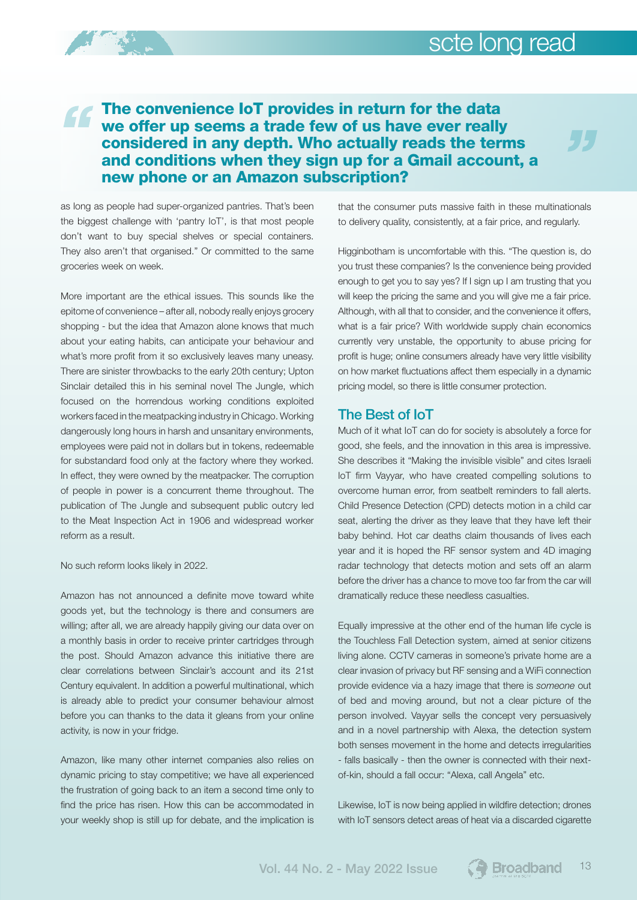55

### The convenience IoT provides in return for the data we offer up seems a trade few of us have ever really considered in any depth. Who actually reads the terms and conditions when they sign up for a Gmail account, a new phone or an Amazon subscription?

as long as people had super-organized pantries. That's been the biggest challenge with 'pantry IoT', is that most people don't want to buy special shelves or special containers. They also aren't that organised." Or committed to the same groceries week on week.

More important are the ethical issues. This sounds like the epitome of convenience – after all, nobody really enjoys grocery shopping - but the idea that Amazon alone knows that much about your eating habits, can anticipate your behaviour and what's more profit from it so exclusively leaves many uneasy. There are sinister throwbacks to the early 20th century; Upton Sinclair detailed this in his seminal novel The Jungle, which focused on the horrendous working conditions exploited workers faced in the meatpacking industry in Chicago. Working dangerously long hours in harsh and unsanitary environments, employees were paid not in dollars but in tokens, redeemable for substandard food only at the factory where they worked. In effect, they were owned by the meatpacker. The corruption of people in power is a concurrent theme throughout. The publication of The Jungle and subsequent public outcry led to the Meat Inspection Act in 1906 and widespread worker reform as a result.

No such reform looks likely in 2022.

Amazon has not announced a definite move toward white goods yet, but the technology is there and consumers are willing; after all, we are already happily giving our data over on a monthly basis in order to receive printer cartridges through the post. Should Amazon advance this initiative there are clear correlations between Sinclair's account and its 21st Century equivalent. In addition a powerful multinational, which is already able to predict your consumer behaviour almost before you can thanks to the data it gleans from your online activity, is now in your fridge.

Amazon, like many other internet companies also relies on dynamic pricing to stay competitive; we have all experienced the frustration of going back to an item a second time only to find the price has risen. How this can be accommodated in your weekly shop is still up for debate, and the implication is

that the consumer puts massive faith in these multinationals to delivery quality, consistently, at a fair price, and regularly.

Higginbotham is uncomfortable with this. "The question is, do you trust these companies? Is the convenience being provided enough to get you to say yes? If I sign up I am trusting that you will keep the pricing the same and you will give me a fair price. Although, with all that to consider, and the convenience it offers, what is a fair price? With worldwide supply chain economics currently very unstable, the opportunity to abuse pricing for profit is huge; online consumers already have very little visibility on how market fluctuations affect them especially in a dynamic pricing model, so there is little consumer protection.

#### The Best of IoT

Much of it what IoT can do for society is absolutely a force for good, she feels, and the innovation in this area is impressive. She describes it "Making the invisible visible" and cites Israeli IoT firm Vayyar, who have created compelling solutions to overcome human error, from seatbelt reminders to fall alerts. Child Presence Detection (CPD) detects motion in a child car seat, alerting the driver as they leave that they have left their baby behind. Hot car deaths claim thousands of lives each year and it is hoped the RF sensor system and 4D imaging radar technology that detects motion and sets off an alarm before the driver has a chance to move too far from the car will dramatically reduce these needless casualties.

Equally impressive at the other end of the human life cycle is the Touchless Fall Detection system, aimed at senior citizens living alone. CCTV cameras in someone's private home are a clear invasion of privacy but RF sensing and a WiFi connection provide evidence via a hazy image that there is *someone* out of bed and moving around, but not a clear picture of the person involved. Vayyar sells the concept very persuasively and in a novel partnership with Alexa, the detection system both senses movement in the home and detects irregularities - falls basically - then the owner is connected with their nextof-kin, should a fall occur: "Alexa, call Angela" etc.

Likewise, IoT is now being applied in wildfire detection; drones with IoT sensors detect areas of heat via a discarded cigarette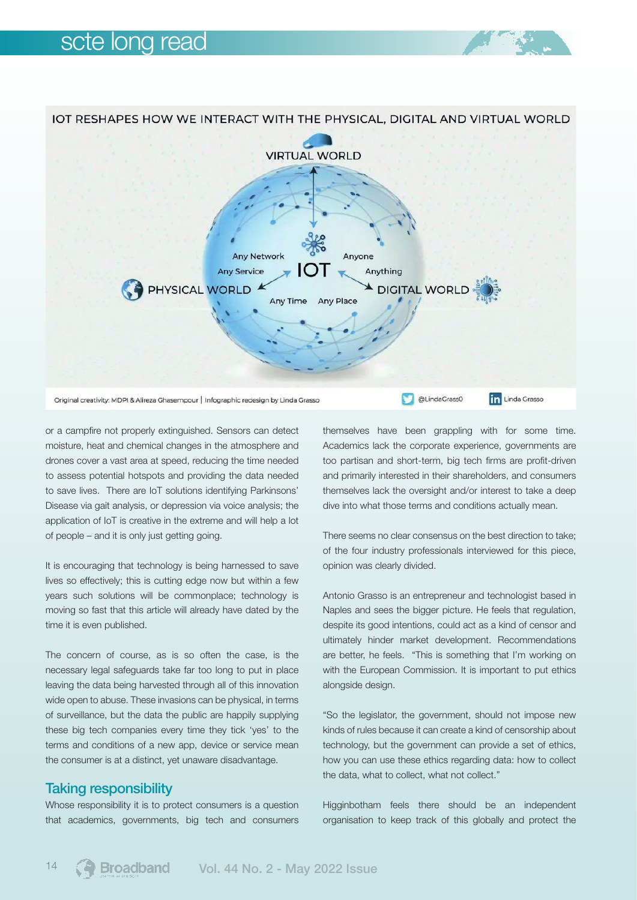

or a campfire not properly extinguished. Sensors can detect moisture, heat and chemical changes in the atmosphere and drones cover a vast area at speed, reducing the time needed to assess potential hotspots and providing the data needed to save lives. There are IoT solutions identifying Parkinsons' Disease via gait analysis, or depression via voice analysis; the application of IoT is creative in the extreme and will help a lot of people – and it is only just getting going.

It is encouraging that technology is being harnessed to save lives so effectively; this is cutting edge now but within a few years such solutions will be commonplace; technology is moving so fast that this article will already have dated by the time it is even published.

The concern of course, as is so often the case, is the necessary legal safeguards take far too long to put in place leaving the data being harvested through all of this innovation wide open to abuse. These invasions can be physical, in terms of surveillance, but the data the public are happily supplying these big tech companies every time they tick 'yes' to the terms and conditions of a new app, device or service mean the consumer is at a distinct, yet unaware disadvantage.

#### Taking responsibility

Whose responsibility it is to protect consumers is a question that academics, governments, big tech and consumers

themselves have been grappling with for some time. Academics lack the corporate experience, governments are too partisan and short-term, big tech firms are profit-driven and primarily interested in their shareholders, and consumers themselves lack the oversight and/or interest to take a deep dive into what those terms and conditions actually mean.

There seems no clear consensus on the best direction to take; of the four industry professionals interviewed for this piece, opinion was clearly divided.

Antonio Grasso is an entrepreneur and technologist based in Naples and sees the bigger picture. He feels that regulation, despite its good intentions, could act as a kind of censor and ultimately hinder market development. Recommendations are better, he feels. "This is something that I'm working on with the European Commission. It is important to put ethics alongside design.

"So the legislator, the government, should not impose new kinds of rules because it can create a kind of censorship about technology, but the government can provide a set of ethics, how you can use these ethics regarding data: how to collect the data, what to collect, what not collect."

Higginbotham feels there should be an independent organisation to keep track of this globally and protect the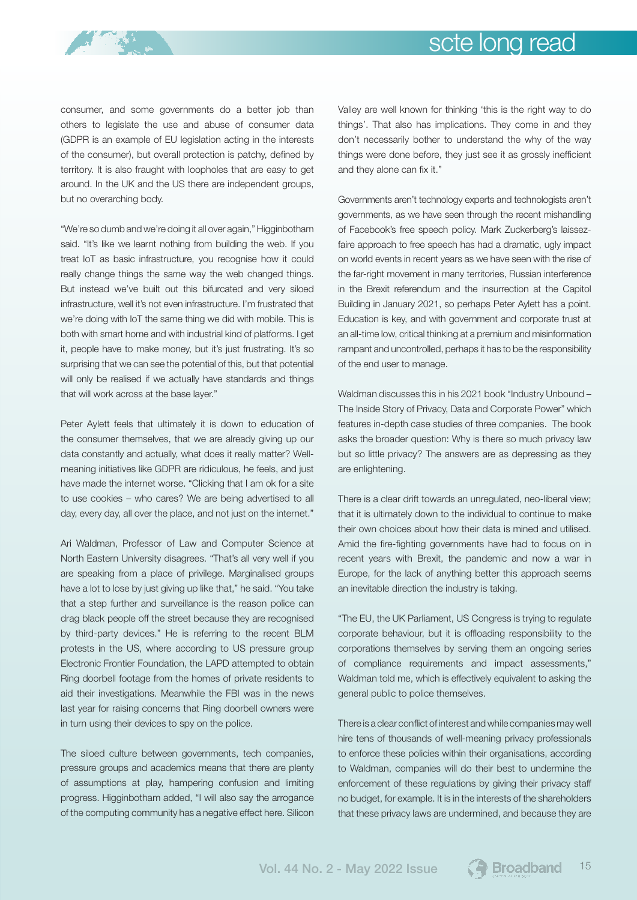

## scte long read

consumer, and some governments do a better job than others to legislate the use and abuse of consumer data (GDPR is an example of EU legislation acting in the interests of the consumer), but overall protection is patchy, defined by territory. It is also fraught with loopholes that are easy to get around. In the UK and the US there are independent groups, but no overarching body.

"We're so dumb and we're doing it all over again," Higginbotham said. "It's like we learnt nothing from building the web. If you treat IoT as basic infrastructure, you recognise how it could really change things the same way the web changed things. But instead we've built out this bifurcated and very siloed infrastructure, well it's not even infrastructure. I'm frustrated that we're doing with IoT the same thing we did with mobile. This is both with smart home and with industrial kind of platforms. I get it, people have to make money, but it's just frustrating. It's so surprising that we can see the potential of this, but that potential will only be realised if we actually have standards and things that will work across at the base layer."

Peter Aylett feels that ultimately it is down to education of the consumer themselves, that we are already giving up our data constantly and actually, what does it really matter? Wellmeaning initiatives like GDPR are ridiculous, he feels, and just have made the internet worse. "Clicking that I am ok for a site to use cookies – who cares? We are being advertised to all day, every day, all over the place, and not just on the internet."

Ari Waldman, Professor of Law and Computer Science at North Eastern University disagrees. "That's all very well if you are speaking from a place of privilege. Marginalised groups have a lot to lose by just giving up like that," he said. "You take that a step further and surveillance is the reason police can drag black people off the street because they are recognised by third-party devices." He is referring to the recent BLM protests in the US, where according to US pressure group Electronic Frontier Foundation, the LAPD attempted to obtain Ring doorbell footage from the homes of private residents to aid their investigations. Meanwhile the FBI was in the news last year for raising concerns that Ring doorbell owners were in turn using their devices to spy on the police.

The siloed culture between governments, tech companies, pressure groups and academics means that there are plenty of assumptions at play, hampering confusion and limiting progress. Higginbotham added, "I will also say the arrogance of the computing community has a negative effect here. Silicon Valley are well known for thinking 'this is the right way to do things'. That also has implications. They come in and they don't necessarily bother to understand the why of the way things were done before, they just see it as grossly inefficient and they alone can fix it."

Governments aren't technology experts and technologists aren't governments, as we have seen through the recent mishandling of Facebook's free speech policy. Mark Zuckerberg's laissezfaire approach to free speech has had a dramatic, ugly impact on world events in recent years as we have seen with the rise of the far-right movement in many territories, Russian interference in the Brexit referendum and the insurrection at the Capitol Building in January 2021, so perhaps Peter Aylett has a point. Education is key, and with government and corporate trust at an all-time low, critical thinking at a premium and misinformation rampant and uncontrolled, perhaps it has to be the responsibility of the end user to manage.

Waldman discusses this in his 2021 book "Industry Unbound – The Inside Story of Privacy, Data and Corporate Power" which features in-depth case studies of three companies. The book asks the broader question: Why is there so much privacy law but so little privacy? The answers are as depressing as they are enlightening.

There is a clear drift towards an unregulated, neo-liberal view; that it is ultimately down to the individual to continue to make their own choices about how their data is mined and utilised. Amid the fire-fighting governments have had to focus on in recent years with Brexit, the pandemic and now a war in Europe, for the lack of anything better this approach seems an inevitable direction the industry is taking.

"The EU, the UK Parliament, US Congress is trying to regulate corporate behaviour, but it is offloading responsibility to the corporations themselves by serving them an ongoing series of compliance requirements and impact assessments," Waldman told me, which is effectively equivalent to asking the general public to police themselves.

There is a clear conflict of interest and while companies may well hire tens of thousands of well-meaning privacy professionals to enforce these policies within their organisations, according to Waldman, companies will do their best to undermine the enforcement of these regulations by giving their privacy staff no budget, for example. It is in the interests of the shareholders that these privacy laws are undermined, and because they are